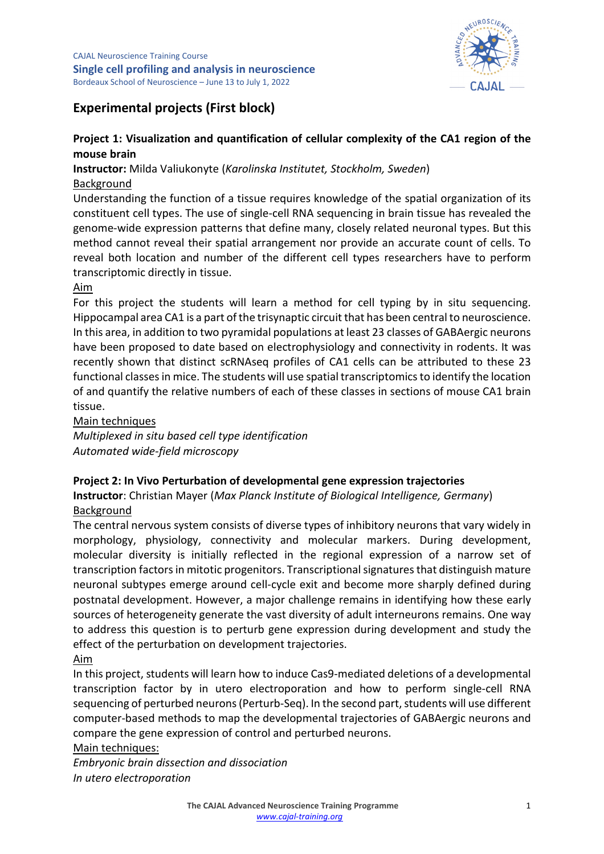

# **Experimental projects (First block)**

## **Project 1: Visualization and quantification of cellular complexity of the CA1 region of the mouse brain**

**Instructor:** Milda Valiukonyte (*Karolinska Institutet, Stockholm, Sweden*) Background

Understanding the function of a tissue requires knowledge of the spatial organization of its constituent cell types. The use of single-cell RNA sequencing in brain tissue has revealed the genome-wide expression patterns that define many, closely related neuronal types. But this method cannot reveal their spatial arrangement nor provide an accurate count of cells. To reveal both location and number of the different cell types researchers have to perform transcriptomic directly in tissue.

## Aim

For this project the students will learn a method for cell typing by in situ sequencing. Hippocampal area CA1 is a part of the trisynaptic circuit that has been central to neuroscience. In this area, in addition to two pyramidal populations at least 23 classes of GABAergic neurons have been proposed to date based on electrophysiology and connectivity in rodents. It was recently shown that distinct scRNAseq profiles of CA1 cells can be attributed to these 23 functional classes in mice. The students will use spatial transcriptomics to identify the location of and quantify the relative numbers of each of these classes in sections of mouse CA1 brain tissue.

### Main techniques

*Multiplexed in situ based cell type identification Automated wide-field microscopy*

## **Project 2: In Vivo Perturbation of developmental gene expression trajectories**

**Instructor**: Christian Mayer (*Max Planck Institute of Biological Intelligence, Germany*) Background

The central nervous system consists of diverse types of inhibitory neurons that vary widely in morphology, physiology, connectivity and molecular markers. During development, molecular diversity is initially reflected in the regional expression of a narrow set of transcription factors in mitotic progenitors. Transcriptional signatures that distinguish mature neuronal subtypes emerge around cell-cycle exit and become more sharply defined during postnatal development. However, a major challenge remains in identifying how these early sources of heterogeneity generate the vast diversity of adult interneurons remains. One way to address this question is to perturb gene expression during development and study the effect of the perturbation on development trajectories.

## Aim

In this project, students will learn how to induce Cas9-mediated deletions of a developmental transcription factor by in utero electroporation and how to perform single-cell RNA sequencing of perturbed neurons (Perturb-Seq). In the second part, students will use different computer-based methods to map the developmental trajectories of GABAergic neurons and compare the gene expression of control and perturbed neurons.

Main techniques:

*Embryonic brain dissection and dissociation In utero electroporation*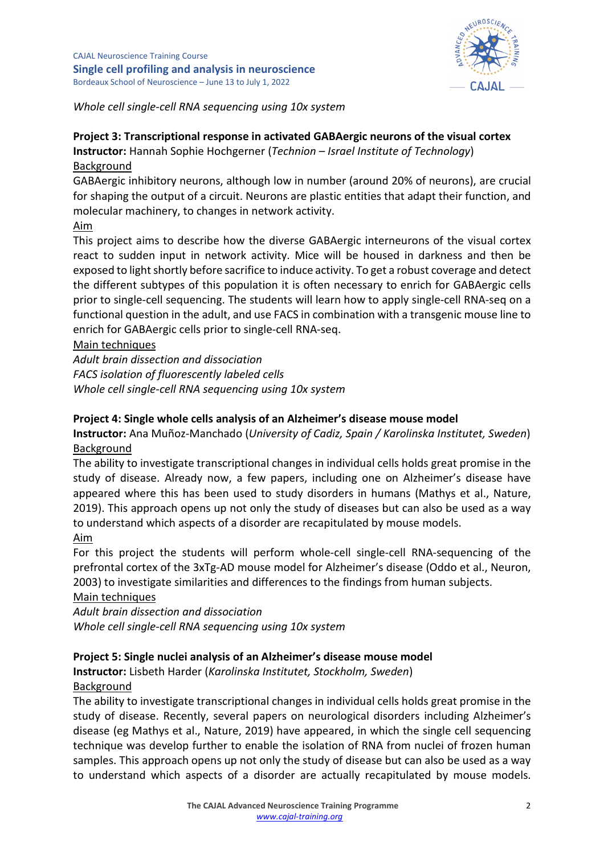

*Whole cell single-cell RNA sequencing using 10x system*

# **Project 3: Transcriptional response in activated GABAergic neurons of the visual cortex**

**Instructor:** Hannah Sophie Hochgerner (*Technion – Israel Institute of Technology*) Background

GABAergic inhibitory neurons, although low in number (around 20% of neurons), are crucial for shaping the output of a circuit. Neurons are plastic entities that adapt their function, and molecular machinery, to changes in network activity.

## Aim

This project aims to describe how the diverse GABAergic interneurons of the visual cortex react to sudden input in network activity. Mice will be housed in darkness and then be exposed to light shortly before sacrifice to induce activity. To get a robust coverage and detect the different subtypes of this population it is often necessary to enrich for GABAergic cells prior to single-cell sequencing. The students will learn how to apply single-cell RNA-seq on a functional question in the adult, and use FACS in combination with a transgenic mouse line to enrich for GABAergic cells prior to single-cell RNA-seq.

## Main techniques

*Adult brain dissection and dissociation FACS isolation of fluorescently labeled cells Whole cell single-cell RNA sequencing using 10x system*

## **Project 4: Single whole cells analysis of an Alzheimer's disease mouse model**

**Instructor:** Ana Muñoz-Manchado (*University of Cadiz, Spain / Karolinska Institutet, Sweden*) Background

The ability to investigate transcriptional changes in individual cells holds great promise in the study of disease. Already now, a few papers, including one on Alzheimer's disease have appeared where this has been used to study disorders in humans (Mathys et al., Nature, 2019). This approach opens up not only the study of diseases but can also be used as a way to understand which aspects of a disorder are recapitulated by mouse models. Aim

## For this project the students will perform whole-cell single-cell RNA-sequencing of the prefrontal cortex of the 3xTg-AD mouse model for Alzheimer's disease (Oddo et al., Neuron, 2003) to investigate similarities and differences to the findings from human subjects.

## Main techniques

*Adult brain dissection and dissociation Whole cell single-cell RNA sequencing using 10x system*

## **Project 5: Single nuclei analysis of an Alzheimer's disease mouse model**

**Instructor:** Lisbeth Harder (*Karolinska Institutet, Stockholm, Sweden*) Background

The ability to investigate transcriptional changes in individual cells holds great promise in the study of disease. Recently, several papers on neurological disorders including Alzheimer's disease (eg Mathys et al., Nature, 2019) have appeared, in which the single cell sequencing technique was develop further to enable the isolation of RNA from nuclei of frozen human samples. This approach opens up not only the study of disease but can also be used as a way to understand which aspects of a disorder are actually recapitulated by mouse models.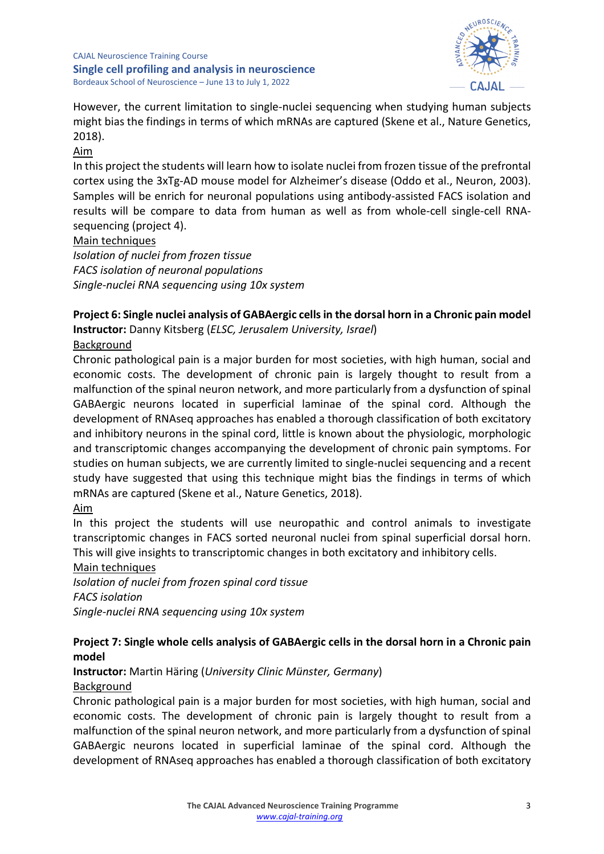

However, the current limitation to single-nuclei sequencing when studying human subjects might bias the findings in terms of which mRNAs are captured (Skene et al., Nature Genetics, 2018).

### Aim

In this project the students will learn how to isolate nuclei from frozen tissue of the prefrontal cortex using the 3xTg-AD mouse model for Alzheimer's disease (Oddo et al., Neuron, 2003). Samples will be enrich for neuronal populations using antibody-assisted FACS isolation and results will be compare to data from human as well as from whole-cell single-cell RNAsequencing (project 4).

#### Main techniques

*Isolation of nuclei from frozen tissue FACS isolation of neuronal populations Single-nuclei RNA sequencing using 10x system*

### **Project 6: Single nuclei analysis of GABAergic cells in the dorsal horn in a Chronic pain model Instructor:** Danny Kitsberg (*ELSC, Jerusalem University, Israel*)

## Background

Chronic pathological pain is a major burden for most societies, with high human, social and economic costs. The development of chronic pain is largely thought to result from a malfunction of the spinal neuron network, and more particularly from a dysfunction of spinal GABAergic neurons located in superficial laminae of the spinal cord. Although the development of RNAseq approaches has enabled a thorough classification of both excitatory and inhibitory neurons in the spinal cord, little is known about the physiologic, morphologic and transcriptomic changes accompanying the development of chronic pain symptoms. For studies on human subjects, we are currently limited to single-nuclei sequencing and a recent study have suggested that using this technique might bias the findings in terms of which mRNAs are captured (Skene et al., Nature Genetics, 2018).

# Aim

In this project the students will use neuropathic and control animals to investigate transcriptomic changes in FACS sorted neuronal nuclei from spinal superficial dorsal horn. This will give insights to transcriptomic changes in both excitatory and inhibitory cells. Main techniques

*Isolation of nuclei from frozen spinal cord tissue FACS isolation Single-nuclei RNA sequencing using 10x system*

## **Project 7: Single whole cells analysis of GABAergic cells in the dorsal horn in a Chronic pain model**

**Instructor:** Martin Häring (*University Clinic Münster, Germany*) Background

Chronic pathological pain is a major burden for most societies, with high human, social and economic costs. The development of chronic pain is largely thought to result from a malfunction of the spinal neuron network, and more particularly from a dysfunction of spinal GABAergic neurons located in superficial laminae of the spinal cord. Although the development of RNAseq approaches has enabled a thorough classification of both excitatory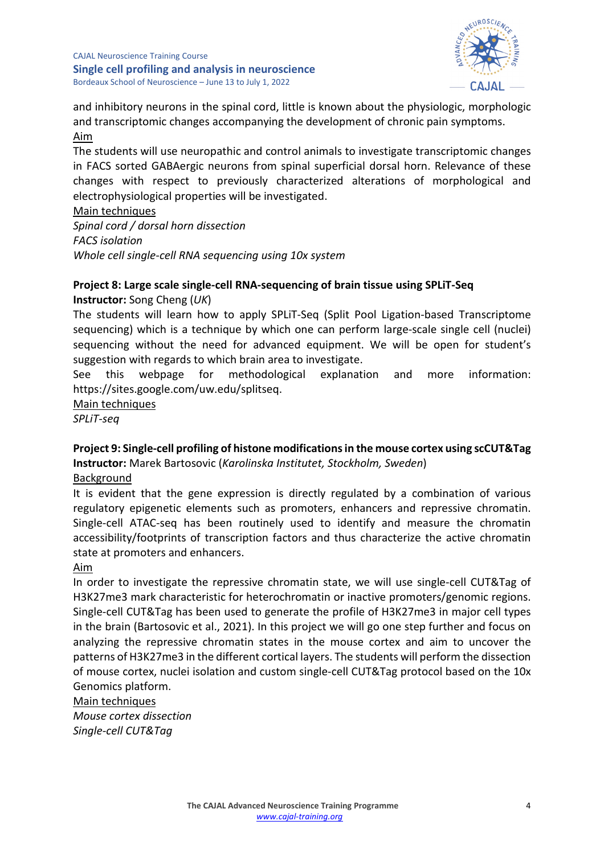

and inhibitory neurons in the spinal cord, little is known about the physiologic, morphologic and transcriptomic changes accompanying the development of chronic pain symptoms. Aim

The students will use neuropathic and control animals to investigate transcriptomic changes in FACS sorted GABAergic neurons from spinal superficial dorsal horn. Relevance of these changes with respect to previously characterized alterations of morphological and electrophysiological properties will be investigated.

#### Main techniques

*Spinal cord / dorsal horn dissection FACS isolation Whole cell single-cell RNA sequencing using 10x system*

## **Project 8: Large scale single-cell RNA-sequencing of brain tissue using SPLiT-Seq**

**Instructor:** Song Cheng (*UK*)

The students will learn how to apply SPLiT-Seq (Split Pool Ligation-based Transcriptome sequencing) which is a technique by which one can perform large-scale single cell (nuclei) sequencing without the need for advanced equipment. We will be open for student's suggestion with regards to which brain area to investigate.

See this webpage for methodological explanation and more information: https://sites.google.com/uw.edu/splitseq.

Main techniques

*SPLiT-seq*

**Project 9: Single-cell profiling of histone modifications in the mouse cortex using scCUT&Tag Instructor:** Marek Bartosovic (*Karolinska Institutet, Stockholm, Sweden*)

Background

It is evident that the gene expression is directly regulated by a combination of various regulatory epigenetic elements such as promoters, enhancers and repressive chromatin. Single-cell ATAC-seq has been routinely used to identify and measure the chromatin accessibility/footprints of transcription factors and thus characterize the active chromatin state at promoters and enhancers.

Aim

In order to investigate the repressive chromatin state, we will use single-cell CUT&Tag of H3K27me3 mark characteristic for heterochromatin or inactive promoters/genomic regions. Single-cell CUT&Tag has been used to generate the profile of H3K27me3 in major cell types in the brain (Bartosovic et al., 2021). In this project we will go one step further and focus on analyzing the repressive chromatin states in the mouse cortex and aim to uncover the patterns of H3K27me3 in the different cortical layers. The students will perform the dissection of mouse cortex, nuclei isolation and custom single-cell CUT&Tag protocol based on the 10x Genomics platform.

#### Main techniques

*Mouse cortex dissection Single-cell CUT&Tag*